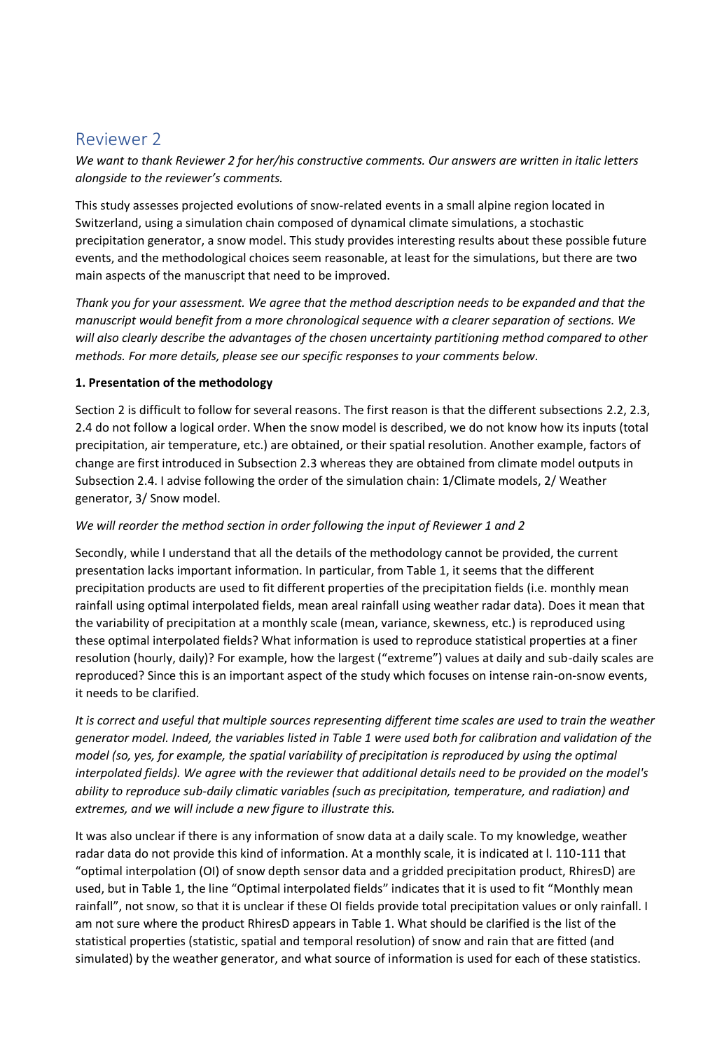# Reviewer 2

*We want to thank Reviewer 2 for her/his constructive comments. Our answers are written in italic letters alongside to the reviewer's comments.* 

This study assesses projected evolutions of snow-related events in a small alpine region located in Switzerland, using a simulation chain composed of dynamical climate simulations, a stochastic precipitation generator, a snow model. This study provides interesting results about these possible future events, and the methodological choices seem reasonable, at least for the simulations, but there are two main aspects of the manuscript that need to be improved.

*Thank you for your assessment. We agree that the method description needs to be expanded and that the manuscript would benefit from a more chronological sequence with a clearer separation of sections. We will also clearly describe the advantages of the chosen uncertainty partitioning method compared to other methods. For more details, please see our specific responses to your comments below.*

### **1. Presentation of the methodology**

Section 2 is difficult to follow for several reasons. The first reason is that the different subsections 2.2, 2.3, 2.4 do not follow a logical order. When the snow model is described, we do not know how its inputs (total precipitation, air temperature, etc.) are obtained, or their spatial resolution. Another example, factors of change are first introduced in Subsection 2.3 whereas they are obtained from climate model outputs in Subsection 2.4. I advise following the order of the simulation chain: 1/Climate models, 2/ Weather generator, 3/ Snow model.

## *We will reorder the method section in order following the input of Reviewer 1 and 2*

Secondly, while I understand that all the details of the methodology cannot be provided, the current presentation lacks important information. In particular, from Table 1, it seems that the different precipitation products are used to fit different properties of the precipitation fields (i.e. monthly mean rainfall using optimal interpolated fields, mean areal rainfall using weather radar data). Does it mean that the variability of precipitation at a monthly scale (mean, variance, skewness, etc.) is reproduced using these optimal interpolated fields? What information is used to reproduce statistical properties at a finer resolution (hourly, daily)? For example, how the largest ("extreme") values at daily and sub-daily scales are reproduced? Since this is an important aspect of the study which focuses on intense rain-on-snow events, it needs to be clarified.

*It is correct and useful that multiple sources representing different time scales are used to train the weather generator model. Indeed, the variables listed in Table 1 were used both for calibration and validation of the model (so, yes, for example, the spatial variability of precipitation is reproduced by using the optimal interpolated fields). We agree with the reviewer that additional details need to be provided on the model's ability to reproduce sub-daily climatic variables (such as precipitation, temperature, and radiation) and extremes, and we will include a new figure to illustrate this.* 

It was also unclear if there is any information of snow data at a daily scale. To my knowledge, weather radar data do not provide this kind of information. At a monthly scale, it is indicated at l. 110-111 that "optimal interpolation (OI) of snow depth sensor data and a gridded precipitation product, RhiresD) are used, but in Table 1, the line "Optimal interpolated fields" indicates that it is used to fit "Monthly mean rainfall", not snow, so that it is unclear if these OI fields provide total precipitation values or only rainfall. I am not sure where the product RhiresD appears in Table 1. What should be clarified is the list of the statistical properties (statistic, spatial and temporal resolution) of snow and rain that are fitted (and simulated) by the weather generator, and what source of information is used for each of these statistics.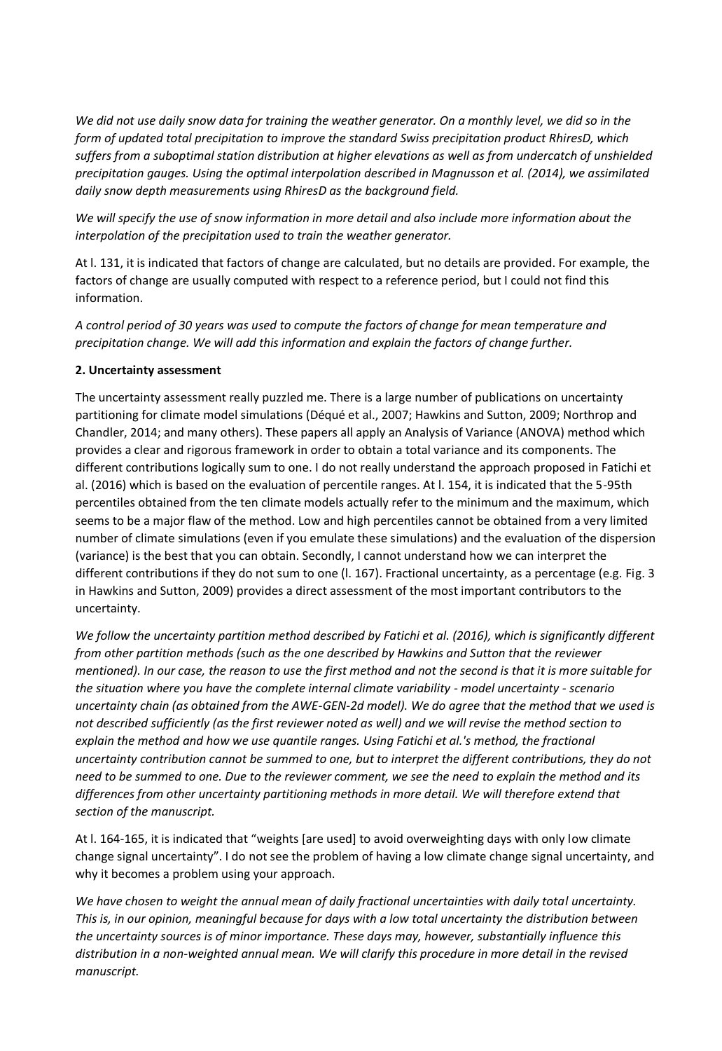*We did not use daily snow data for training the weather generator. On a monthly level, we did so in the form of updated total precipitation to improve the standard Swiss precipitation product RhiresD, which suffers from a suboptimal station distribution at higher elevations as well as from undercatch of unshielded precipitation gauges. Using the optimal interpolation described in Magnusson et al. (2014), we assimilated daily snow depth measurements using RhiresD as the background field.* 

*We will specify the use of snow information in more detail and also include more information about the interpolation of the precipitation used to train the weather generator.*

At l. 131, it is indicated that factors of change are calculated, but no details are provided. For example, the factors of change are usually computed with respect to a reference period, but I could not find this information.

*A control period of 30 years was used to compute the factors of change for mean temperature and precipitation change. We will add this information and explain the factors of change further.* 

### **2. Uncertainty assessment**

The uncertainty assessment really puzzled me. There is a large number of publications on uncertainty partitioning for climate model simulations (Déqué et al., 2007; Hawkins and Sutton, 2009; Northrop and Chandler, 2014; and many others). These papers all apply an Analysis of Variance (ANOVA) method which provides a clear and rigorous framework in order to obtain a total variance and its components. The different contributions logically sum to one. I do not really understand the approach proposed in Fatichi et al. (2016) which is based on the evaluation of percentile ranges. At l. 154, it is indicated that the 5-95th percentiles obtained from the ten climate models actually refer to the minimum and the maximum, which seems to be a major flaw of the method. Low and high percentiles cannot be obtained from a very limited number of climate simulations (even if you emulate these simulations) and the evaluation of the dispersion (variance) is the best that you can obtain. Secondly, I cannot understand how we can interpret the different contributions if they do not sum to one (l. 167). Fractional uncertainty, as a percentage (e.g. Fig. 3 in Hawkins and Sutton, 2009) provides a direct assessment of the most important contributors to the uncertainty.

*We follow the uncertainty partition method described by Fatichi et al. (2016), which is significantly different from other partition methods (such as the one described by Hawkins and Sutton that the reviewer mentioned). In our case, the reason to use the first method and not the second is that it is more suitable for the situation where you have the complete internal climate variability - model uncertainty - scenario uncertainty chain (as obtained from the AWE-GEN-2d model). We do agree that the method that we used is not described sufficiently (as the first reviewer noted as well) and we will revise the method section to explain the method and how we use quantile ranges. Using Fatichi et al.'s method, the fractional uncertainty contribution cannot be summed to one, but to interpret the different contributions, they do not need to be summed to one. Due to the reviewer comment, we see the need to explain the method and its differences from other uncertainty partitioning methods in more detail. We will therefore extend that section of the manuscript.* 

At l. 164-165, it is indicated that "weights [are used] to avoid overweighting days with only low climate change signal uncertainty". I do not see the problem of having a low climate change signal uncertainty, and why it becomes a problem using your approach.

*We have chosen to weight the annual mean of daily fractional uncertainties with daily total uncertainty. This is, in our opinion, meaningful because for days with a low total uncertainty the distribution between the uncertainty sources is of minor importance. These days may, however, substantially influence this distribution in a non-weighted annual mean. We will clarify this procedure in more detail in the revised manuscript.*